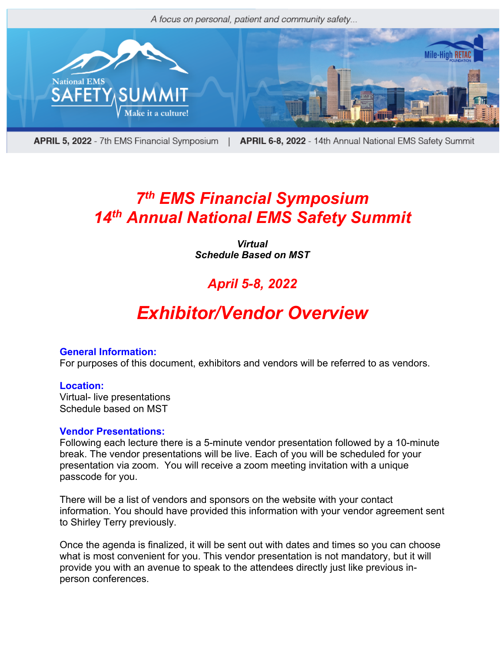

APRIL 5, 2022 - 7th EMS Financial Symposium | APRIL 6-8, 2022 - 14th Annual National EMS Safety Summit

## *7th EMS Financial Symposium 14th Annual National EMS Safety Summit*

*Virtual Schedule Based on MST*

### *April 5-8, 2022*

# *Exhibitor/Vendor Overview*

#### **General Information:**

For purposes of this document, exhibitors and vendors will be referred to as vendors.

#### **Location:**

Virtual- live presentations Schedule based on MST

#### **Vendor Presentations:**

Following each lecture there is a 5-minute vendor presentation followed by a 10-minute break. The vendor presentations will be live. Each of you will be scheduled for your presentation via zoom. You will receive a zoom meeting invitation with a unique passcode for you.

There will be a list of vendors and sponsors on the website with your contact information. You should have provided this information with your vendor agreement sent to Shirley Terry previously.

Once the agenda is finalized, it will be sent out with dates and times so you can choose what is most convenient for you. This vendor presentation is not mandatory, but it will provide you with an avenue to speak to the attendees directly just like previous inperson conferences.